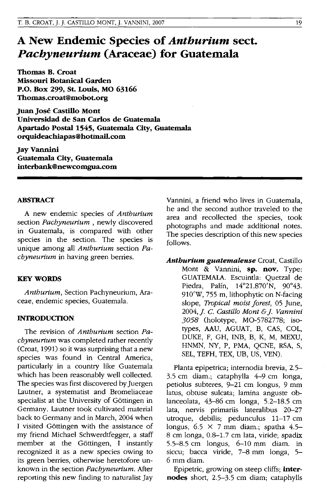# **A New Endemic Species of** *Anthurium* **sect.**  *Pachyneurium* **(Araceae) for Guatemala**

**Thomas B. Croat Missouri Botanical Garden P.O. Box 299, St. Louis, MO 63166 Thomas.croat@mobot.org** 

**Juan Jose Castillo Mont Universidad de San Carlos de Guatemala Apartado Postal 1545, Guatemala City, Guatemala orquideachiapas@hotinail.com** 

**JayVannini Guatemala City, Guatemala interbank@newcomgua.com** 

## **ABSTRACT**

A new endemic species of *Anthurium*  section *Pachyneurium* , newly discovered in Guatemala, is compared with other species in the section. The species is unique among all *Anthurium* section *Pachyneurium* in having green berries.

#### **KEY WORDS**

*Anthurium,* Section Pachyneurium, Araceae, endemic species, Guatemala.

### **INTRODUCTION**

The revision of *Anthurium* section *Pachyneurium* was completed rather recently (Croat, 1991) so it was surprising that a new species was found in Central America, particularly in a country like Guatemala which has been reasonably well collected. The species was first discovered by Juergen Lautner, a systematist and Bromeliaceae specialist at the University of Göttingen in Germany. Lautner took cultivated material back to Germany and in March, 2004 when I visited Göttingen with the assistance of my friend Michael Schwerdtfegger, a staff member at the Göttingen, I instantly recognized it as a new species owing to its green berries, otherwise heretofore unknown in the section *Pachyneurium.* After reporting this new finding to naturalist Jay Vannini, a friend who lives in Guatemala, he and the second author traveled to the area and recollected the species, took photographs and made additional notes. The species description of this new species follows.

*Anthurium guatemalense* Croat, Castillo Mont & Vannini, **sp. nov.** Type: GUATEMALA. Escuintla: Quetzal de Piedra, Palfn, 14°21.870'N, 90°43. 91O'W, 755 m, lithophytic on N-facing slope, *Tropical moist forest*, 05 June, *2004,* j. C. *Castillo Mont* & j. *Vannini 3058* (holotype, MO-5782778; isotypes, AAU, AGUAT, B, CAS, COL, DUKE, F, GH, INB, B, K, M, MEXU, HNMN, NY, P, PMA, QCNE, RSA, S, SEL, TEFH, TEX, UB, US, YEN).

Planta epipetrica; internodia brevia, 2.5- 3.5 cm diam.; cataphylla 4-9 cm longa, petiolus subteres, 9-21 cm longus, 9 mm latus, obtuse sulcata; lamina anguste oblanceolata, 43-86 cm longa, 5.2-18.5 cm lata, nervis primariis lateralibus 20-27 utroque, debilis; pedunculus 11-17 cm longus,  $6.5 \times 7$  mm diam.; spatha 4.5-8 cm longa, 0.8-1.7 cm lata, viride; spadix 5.5-8.5 cm longus, 6-10 mm diam. in siccu; bacca viride, 7-8 mm longa, 5- 6 mm diam.

Epipetric, growing on steep cliffs; **internodes** short, 2.5-3.5 cm diam; cataphylls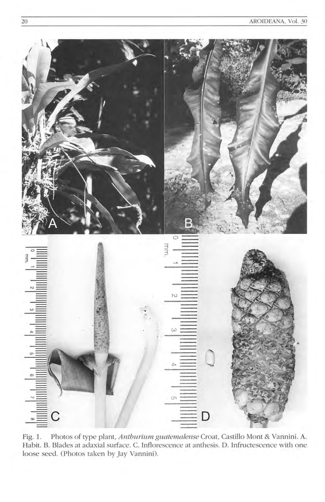

Fig. 1. Photos of type plant, Anthurium guatemalense Croat, Castillo Mont & Vannini. A. Habit. B. Blades at adaxial surface. C. Inflorescence at anthesis. D. Infructescence with one loose seed. (Photos taken by Jay Vannini).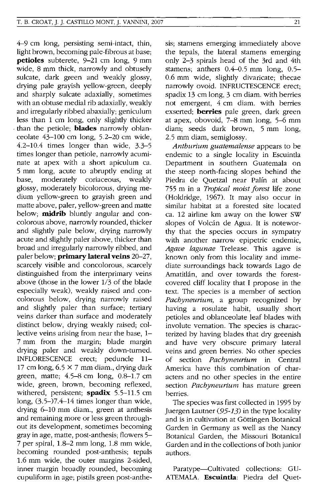$4-9$  cm long, persisting semi-intact, thin, light brown, becoming pale-fibrous at base; **petioles** subterete, 9-21 cm long, 9 mm wide, 8 mm thick, narrowly and obtusely sulcate, dark green and weakly glossy, drying pale grayish yellow-green, deeply and sharply sulcate adaxially, sometimes with an obtuse medial rib adaxially, weakly and irregularly ribbed abaxially; geniculum less than 1 cm long, only slightly thicker . than the petiole; **blades** narrowly oblanceolate 43-100 cm long, 5.2-20 cm wide, 4.2-10.4 times longer than wide, 3.3-5 times longer than petiole, narrowly acuminate at apex with a short apiculum ca. 5 mm long, acute to abruptly ending at base, moderately coriaceous, weakly glossy, moderately bicolorous, drying medium yellow-green to grayish green and matte above, paler, yellow-green and matte below; **midrib** bluntly angular and concolorous above, narrowly rounded, thicker and slightly pale below, drying narrowly acute and slightly paler above, thicker than broad and irregularly narrowly ribbed, and paler below; **primary lateral veins** 20-27, scarcely visible and concolorous, scarcely distinguished from the interprimary veins above (those in the lower  $1/3$  of the blade especially weak), weakly raised and concolorous below, drying narrowly raised and slightly paler than surface; tertiary veins darker than surface and moderately distinct below, drying weakly raised; collective veins arising from near the base, 1- 7 mm from the margin; blade margin drying paler and weakly down-turned. INFLORESCENCE erect; peduncle 11- 17 cm long,  $6.5 \times 7$  mm diam., drying dark green, matte; 4.5-8 cm long, 0.8-1.7 cm wide, green, brown, becoming reflexed, withered, persistent; **spadix** 5.5-11.5 cm long,  $(3.5-)7.4-14$  times longer than wide, drying 6-10 mm diam., green at anthesis and remaining more or less green throughout its development, sometimes becoming gray in age, matte, post-anthesis; flowers 5-7 per spiral, 1.8-2 mm long, 1.8 mm wide, becoming rounded post-anthesis; tepals 1.6 mm wide, the outer margins 2-sided, inner margin broadly rounded, becoming cupuliform in age; pistils green post-anthesis; stamens emerging immediately above the tepals, the lateral stamens emerging only 2-3 spirals head of the 3rd and 4th stamens; anthers  $0.4-0.5$  mm long,  $0.5-$ 0.6 mm wide, slightly divaricate; thecae narrowly ovoid. INFRUCTESCENCE erect; spadix 13 cm long, 3 cm diam. with berries not emergent, 4 cm diam. with berries exserted; **berries** pale green, dark green at apex, obovoid, 7-8 mm long, 5-6 mm diam; seeds dark brown, 5 mm long, 2.5 mm diam, semiglossy.

*Anthurium guatemalense* appears to be endemic to a single locality in Escuintla Department in southern Guatemala on the steep north-facing slopes behind the Piedra de Quetzal near Palin at about 755 m in a *Tropical moist forest* life zone (Holdridge, 1967). It may also occur in similar habitat at a forested site located ca. 12 airline km away on the lower SW slopes of Volcán de Agua. It is noteworthy that the species occurs in sympatry with another narrow epipetric endemic, *Agave lagunae* Trelease. This agave is known only from this locality and immediate surroundings back towards Lago de Amatitlan, and over towards the forestcovered cliff locality that I propose in the text. The species is a member of section *Pachyneurium,* a group recognized by having a rosulate habit, usually short petioles and oblanceolate leaf blades with involute vernation. The species is characterized by having blades that dry greenish and have very obscure primary lateral veins and green berries. No other species of section *Pachyneurium* in Central America have this combination of characters and no other species in the entire section *Pachyneurium* has mature green berries.

The species was first collected in 1995 by Juergen Lautner (95-13) in the type locality and is in cultivation at Göttingen Botanical Garden in Germany as well as the Nancy Botanical Garden, the Missouri Botanical Garden and in the collections of both junior authors.

Paratype-Cultivated collections: GU-ATEMALA. **Escuintla:** Piedra del Quet